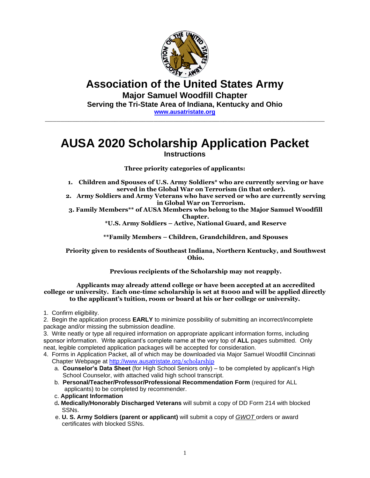

## **Association of the United States Army Major Samuel Woodfill Chapter Serving the Tri-State Area of Indiana, Kentucky and Ohio [www.ausatristate.org](http://www.ausatristate.org/)**

 $\_$  , and the set of the set of the set of the set of the set of the set of the set of the set of the set of the set of the set of the set of the set of the set of the set of the set of the set of the set of the set of th

# **AUSA 2020 Scholarship Application Packet Instructions**

**Three priority categories of applicants:** 

- **1. Children and Spouses of U.S. Army Soldiers\* who are currently serving or have served in the Global War on Terrorism (in that order).**
- **2. Army Soldiers and Army Veterans who have served or who are currently serving in Global War on Terrorism.**
- **3. Family Members\*\* of AUSA Members who belong to the Major Samuel Woodfill Chapter.**

**\*U.S. Army Soldiers – Active, National Guard, and Reserve**

**\*\*Family Members – Children, Grandchildren, and Spouses**

**Priority given to residents of Southeast Indiana, Northern Kentucky, and Southwest Ohio.** 

**Previous recipients of the Scholarship may not reapply.**

#### **Applicants may already attend college or have been accepted at an accredited college or university. Each one-time scholarship is set at \$1000 and will be applied directly to the applicant's tuition, room or board at his or her college or university.**

1. Confirm eligibility.

2. Begin the application process **EARLY** to minimize possibility of submitting an incorrect/incomplete package and/or missing the submission deadline.

3. Write neatly or type all required information on appropriate applicant information forms, including sponsor information. Write applicant's complete name at the very top of **ALL** pages submitted. Only neat, legible completed application packages will be accepted for consideration.

4. Forms in Application Packet, all of which may be downloaded via Major Samuel Woodfill Cincinnati Chapter Webpage at [http://www.ausatristate.org](http://www.ausatristate.org/scholarship)/scholarship

- a. **Counselor's Data Sheet** (for High School Seniors only) to be completed by applicant's High School Counselor, with attached valid high school transcript.
- b. **Personal/Teacher/Professor/Professional Recommendation Form** (required for ALL applicants) to be completed by recommender.
- c. **Applicant Information**
- d**. Medically/Honorably Discharged Veterans** will submit a copy of DD Form 214 with blocked SSNs.
- e. **U. S. Army Soldiers (parent or applicant)** will submit a copy of *GWOT* orders or award certificates with blocked SSNs.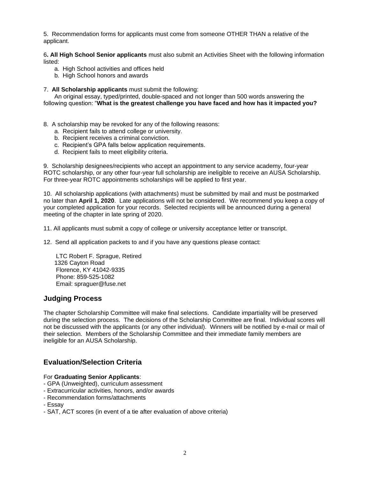5. Recommendation forms for applicants must come from someone OTHER THAN a relative of the applicant.

6**. All High School Senior applicants** must also submit an Activities Sheet with the following information listed:

- a. High School activities and offices held
- b. High School honors and awards
- 7. **All Scholarship applicants** must submit the following:

An original essay, typed/printed, double-spaced and not longer than 500 words answering the following question: "**What is the greatest challenge you have faced and how has it impacted you?** 

- 8. A scholarship may be revoked for any of the following reasons:
	- a. Recipient fails to attend college or university.
	- b. Recipient receives a criminal conviction.
	- c. Recipient's GPA falls below application requirements.
	- d. Recipient fails to meet eligibility criteria.

9. Scholarship designees/recipients who accept an appointment to any service academy, four-year ROTC scholarship, or any other four-year full scholarship are ineligible to receive an AUSA Scholarship. For three-year ROTC appointments scholarships will be applied to first year.

10. All scholarship applications (with attachments) must be submitted by mail and must be postmarked no later than **April 1, 2020**. Late applications will not be considered. We recommend you keep a copy of your completed application for your records. Selected recipients will be announced during a general meeting of the chapter in late spring of 2020.

- 11. All applicants must submit a copy of college or university acceptance letter or transcript.
- 12. Send all application packets to and if you have any questions please contact:

LTC Robert F. Sprague, Retired 1326 Cayton Road Florence, KY 41042-9335 Phone: 859-525-1082 Email: spraguer@fuse.net

### **Judging Process**

The chapter Scholarship Committee will make final selections. Candidate impartiality will be preserved during the selection process. The decisions of the Scholarship Committee are final. Individual scores will not be discussed with the applicants (or any other individual). Winners will be notified by e-mail or mail of their selection. Members of the Scholarship Committee and their immediate family members are ineligible for an AUSA Scholarship.

## **Evaluation/Selection Criteria**

#### For **Graduating Senior Applicants**:

- GPA (Unweighted), curriculum assessment
- Extracurricular activities, honors, and/or awards
- Recommendation forms/attachments
- Essay
- SAT, ACT scores (in event of a tie after evaluation of above criteria)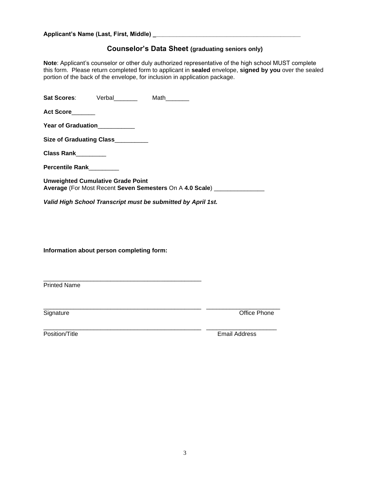#### **Applicant's Name (Last, First, Middle) \_\_\_\_\_\_\_\_\_\_\_\_\_\_\_\_\_\_\_\_\_\_\_\_\_\_\_\_\_\_\_\_\_\_\_\_\_\_\_\_\_\_\_\_**

## **Counselor's Data Sheet (graduating seniors only)**

**Note**: Applicant's counselor or other duly authorized representative of the high school MUST complete this form. Please return completed form to applicant in **sealed** envelope, **signed by you** over the sealed portion of the back of the envelope, for inclusion in application package.

|                              | Sat Scores: Verbal                       | Math                                                                       |
|------------------------------|------------------------------------------|----------------------------------------------------------------------------|
| Act Score                    |                                          |                                                                            |
| Year of Graduation__________ |                                          |                                                                            |
|                              | Size of Graduating Class_________        |                                                                            |
| Class Rank________           |                                          |                                                                            |
| Percentile Rank________      |                                          |                                                                            |
|                              | <b>Unweighted Cumulative Grade Point</b> | Average (For Most Recent Seven Semesters On A 4.0 Scale) _________________ |
|                              |                                          | Valid High School Transcript must be submitted by April 1st.               |

\_\_\_\_\_\_\_\_\_\_\_\_\_\_\_\_\_\_\_\_\_\_\_\_\_\_\_\_\_\_\_\_\_\_\_\_\_\_\_\_\_\_\_\_\_\_\_ \_\_\_\_\_\_\_\_\_\_\_\_\_\_\_\_\_\_\_\_\_\_

**Information about person completing form:**

\_\_\_\_\_\_\_\_\_\_\_\_\_\_\_\_\_\_\_\_\_\_\_\_\_\_\_\_\_\_\_\_\_\_\_\_\_\_\_\_\_\_\_\_\_\_\_ Printed Name

Signature **Contract Contract Contract Contract Contract Contract Contract Contract Contract Contract Contract Contract Contract Contract Contract Contract Contract Contract Contract Contract Contract Contract Contract Cont** 

\_\_\_\_\_\_\_\_\_\_\_\_\_\_\_\_\_\_\_\_\_\_\_\_\_\_\_\_\_\_\_\_\_\_\_\_\_\_\_\_\_\_\_\_\_\_\_ \_\_\_\_\_\_\_\_\_\_\_\_\_\_\_\_\_\_\_\_\_ Position/Title Email Address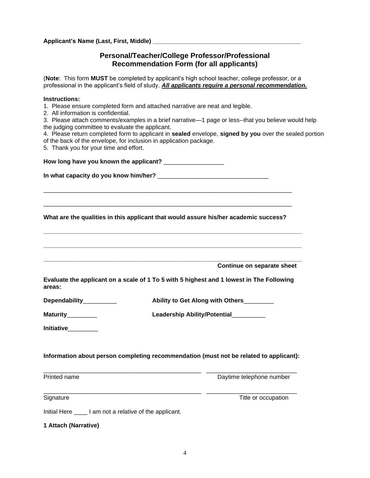**Applicant's Name (Last, First, Middle) \_\_\_\_\_\_\_\_\_\_\_\_\_\_\_\_\_\_\_\_\_\_\_\_\_\_\_\_\_\_\_\_\_\_\_\_\_\_\_\_\_\_\_\_**

## **Personal/Teacher/College Professor/Professional Recommendation Form (for all applicants)**

(**Note**: This form **MUST** be completed by applicant's high school teacher, college professor, or a professional in the applicant's field of study. *All applicants require a personal recommendation.* 

#### **Instructions:**

- 1. Please ensure completed form and attached narrative are neat and legible.
- 2. All information is confidential.

3. Please attach comments/examples in a brief narrative—1 page or less--that you believe would help the judging committee to evaluate the applicant.

- 4. Please return completed form to applicant in **sealed** envelope, **signed by you** over the sealed portion of the back of the envelope, for inclusion in application package.
- 5. Thank you for your time and effort.

**How long have you known the applicant?** \_\_\_\_\_\_\_\_\_\_\_\_\_\_\_\_\_\_

| In what capacity do you know him/her? j |  |
|-----------------------------------------|--|
|-----------------------------------------|--|

**What are the qualities in this applicant that would assure his/her academic success?**

**\_\_\_\_\_\_\_\_\_\_\_\_\_\_\_\_\_\_\_\_\_\_\_\_\_\_\_\_\_\_\_\_\_\_\_\_\_\_\_\_\_\_\_\_\_\_\_\_\_\_\_\_\_\_\_\_\_\_\_\_\_\_\_\_\_\_\_\_\_\_\_\_\_\_\_\_\_**

**\_\_\_\_\_\_\_\_\_\_\_\_\_\_\_\_\_\_\_\_\_\_\_\_\_\_\_\_\_\_\_\_\_\_\_\_\_\_\_\_\_\_\_\_\_\_\_\_\_\_\_\_\_\_\_\_\_\_\_\_\_\_\_\_\_\_\_\_\_\_\_\_\_\_\_\_\_**

**\_\_\_\_\_\_\_\_\_\_\_\_\_\_\_\_\_\_\_\_\_\_\_\_\_\_\_\_\_\_\_\_\_\_\_\_\_\_\_\_\_\_\_\_\_\_\_\_\_\_\_\_\_\_\_\_\_\_\_\_\_\_\_\_\_\_\_\_\_\_\_\_\_\_\_\_\_**

\_\_\_\_\_\_\_\_\_\_\_\_\_\_\_\_\_\_\_\_\_\_\_\_\_\_\_\_\_\_\_\_\_\_\_\_\_\_\_\_\_\_\_\_\_\_\_\_\_\_\_\_\_\_\_\_\_\_\_\_\_\_\_\_\_\_\_\_\_\_\_\_\_\_

\_\_\_\_\_\_\_\_\_\_\_\_\_\_\_\_\_\_\_\_\_\_\_\_\_\_\_\_\_\_\_\_\_\_\_\_\_\_\_\_\_\_\_\_\_\_\_\_\_\_\_\_\_\_\_\_\_\_\_\_\_\_\_\_\_\_\_\_\_\_\_\_\_\_

**Continue on separate sheet**

| Evaluate the applicant on a scale of 1 To 5 with 5 highest and 1 lowest in The Following |  |  |
|------------------------------------------------------------------------------------------|--|--|
| areas:                                                                                   |  |  |

| Dependability | Ability to Get Along with Others |
|---------------|----------------------------------|
|---------------|----------------------------------|

|  | <b>Maturity</b> | Leadership Ability/Potential |
|--|-----------------|------------------------------|
|--|-----------------|------------------------------|

**Initiative**\_\_\_\_\_\_\_\_\_

### **Information about person completing recommendation (must not be related to applicant):**

\_\_\_\_\_\_\_\_\_\_\_\_\_\_\_\_\_\_\_\_\_\_\_\_\_\_\_\_\_\_\_\_\_\_\_\_\_\_\_\_\_\_\_\_\_\_\_ \_\_\_\_\_\_\_\_\_\_\_\_\_\_\_\_\_\_\_\_\_\_\_\_\_\_\_

Printed name **Daytime telephone number** Daytime telephone number

Signature Title or occupation and the state of the Title of occupation of the Title or occupation

Initial Here \_\_\_\_ I am not a relative of the applicant.

**1 Attach (Narrative)**

\_\_\_\_\_\_\_\_\_\_\_\_\_\_\_\_\_\_\_\_\_\_\_\_\_\_\_\_\_\_\_\_\_\_\_\_\_\_\_\_\_\_\_\_\_\_\_ \_\_\_\_\_\_\_\_\_\_\_\_\_\_\_\_\_\_\_\_\_\_\_\_\_\_\_